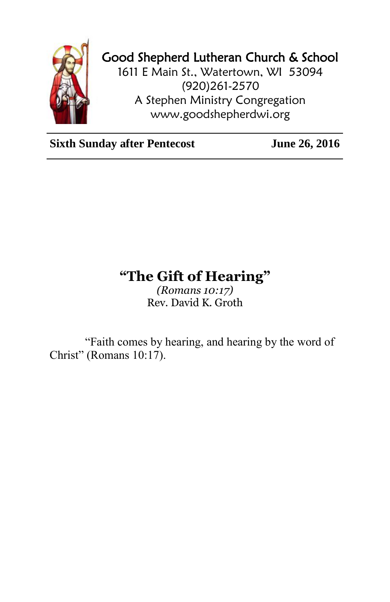

## Good Shepherd Lutheran Church & School

1611 E Main St., Watertown, WI 53094 (920)261-2570 A Stephen Ministry Congregation [www.goodshepherdwi.org](http://www.goodshepherdwi.org/)

**Sixth Sunday after Pentecost** June 26, 2016

## **"The Gift of Hearing"**

*(Romans 10:17)* Rev. David K. Groth

"Faith comes by hearing, and hearing by the word of Christ" (Romans 10:17).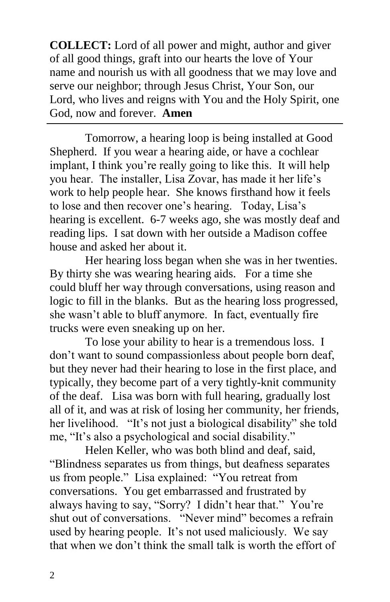**COLLECT:** Lord of all power and might, author and giver of all good things, graft into our hearts the love of Your name and nourish us with all goodness that we may love and serve our neighbor; through Jesus Christ, Your Son, our Lord, who lives and reigns with You and the Holy Spirit, one God, now and forever. **Amen**

Tomorrow, a hearing loop is being installed at Good Shepherd. If you wear a hearing aide, or have a cochlear implant, I think you're really going to like this. It will help you hear. The installer, Lisa Zovar, has made it her life's work to help people hear. She knows firsthand how it feels to lose and then recover one's hearing. Today, Lisa's hearing is excellent. 6-7 weeks ago, she was mostly deaf and reading lips. I sat down with her outside a Madison coffee house and asked her about it.

Her hearing loss began when she was in her twenties. By thirty she was wearing hearing aids. For a time she could bluff her way through conversations, using reason and logic to fill in the blanks. But as the hearing loss progressed, she wasn't able to bluff anymore. In fact, eventually fire trucks were even sneaking up on her.

To lose your ability to hear is a tremendous loss. I don't want to sound compassionless about people born deaf, but they never had their hearing to lose in the first place, and typically, they become part of a very tightly-knit community of the deaf. Lisa was born with full hearing, gradually lost all of it, and was at risk of losing her community, her friends, her livelihood. "It's not just a biological disability" she told me, "It's also a psychological and social disability."

Helen Keller, who was both blind and deaf, said, "Blindness separates us from things, but deafness separates us from people." Lisa explained: "You retreat from conversations. You get embarrassed and frustrated by always having to say, "Sorry? I didn't hear that." You're shut out of conversations. "Never mind" becomes a refrain used by hearing people. It's not used maliciously. We say that when we don't think the small talk is worth the effort of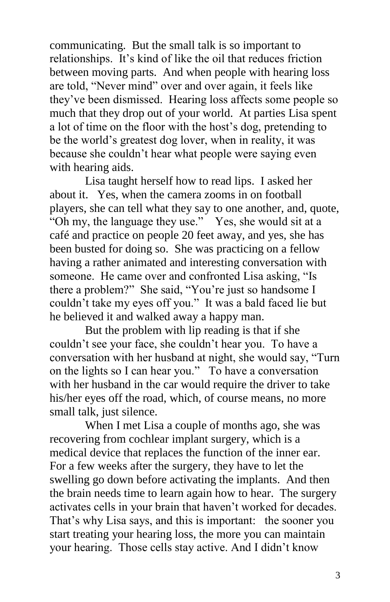communicating. But the small talk is so important to relationships. It's kind of like the oil that reduces friction between moving parts. And when people with hearing loss are told, "Never mind" over and over again, it feels like they've been dismissed. Hearing loss affects some people so much that they drop out of your world. At parties Lisa spent a lot of time on the floor with the host's dog, pretending to be the world's greatest dog lover, when in reality, it was because she couldn't hear what people were saying even with hearing aids.

Lisa taught herself how to read lips. I asked her about it. Yes, when the camera zooms in on football players, she can tell what they say to one another, and, quote, "Oh my, the language they use." Yes, she would sit at a café and practice on people 20 feet away, and yes, she has been busted for doing so. She was practicing on a fellow having a rather animated and interesting conversation with someone. He came over and confronted Lisa asking, "Is there a problem?" She said, "You're just so handsome I couldn't take my eyes off you." It was a bald faced lie but he believed it and walked away a happy man.

But the problem with lip reading is that if she couldn't see your face, she couldn't hear you. To have a conversation with her husband at night, she would say, "Turn on the lights so I can hear you." To have a conversation with her husband in the car would require the driver to take his/her eyes off the road, which, of course means, no more small talk, just silence.

When I met Lisa a couple of months ago, she was recovering from cochlear implant surgery, which is a medical device that replaces the function of the inner ear. For a few weeks after the surgery, they have to let the swelling go down before activating the implants. And then the brain needs time to learn again how to hear. The surgery activates cells in your brain that haven't worked for decades. That's why Lisa says, and this is important: the sooner you start treating your hearing loss, the more you can maintain your hearing. Those cells stay active. And I didn't know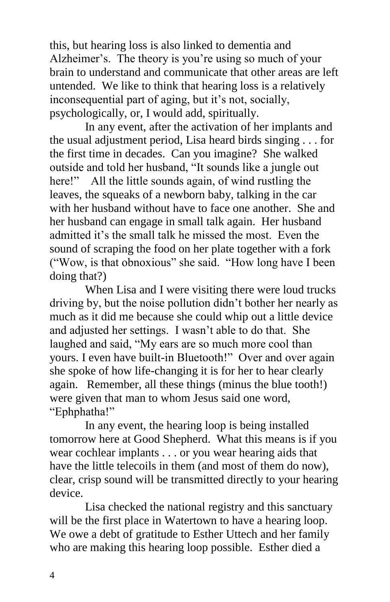this, but hearing loss is also linked to dementia and Alzheimer's. The theory is you're using so much of your brain to understand and communicate that other areas are left untended. We like to think that hearing loss is a relatively inconsequential part of aging, but it's not, socially, psychologically, or, I would add, spiritually.

In any event, after the activation of her implants and the usual adjustment period, Lisa heard birds singing . . . for the first time in decades. Can you imagine? She walked outside and told her husband, "It sounds like a jungle out here!" All the little sounds again, of wind rustling the leaves, the squeaks of a newborn baby, talking in the car with her husband without have to face one another. She and her husband can engage in small talk again. Her husband admitted it's the small talk he missed the most. Even the sound of scraping the food on her plate together with a fork ("Wow, is that obnoxious" she said. "How long have I been doing that?)

When Lisa and I were visiting there were loud trucks driving by, but the noise pollution didn't bother her nearly as much as it did me because she could whip out a little device and adjusted her settings. I wasn't able to do that. She laughed and said, "My ears are so much more cool than yours. I even have built-in Bluetooth!" Over and over again she spoke of how life-changing it is for her to hear clearly again. Remember, all these things (minus the blue tooth!) were given that man to whom Jesus said one word, "Ephphatha!"

In any event, the hearing loop is being installed tomorrow here at Good Shepherd. What this means is if you wear cochlear implants . . . or you wear hearing aids that have the little telecoils in them (and most of them do now), clear, crisp sound will be transmitted directly to your hearing device.

Lisa checked the national registry and this sanctuary will be the first place in Watertown to have a hearing loop. We owe a debt of gratitude to Esther Uttech and her family who are making this hearing loop possible. Esther died a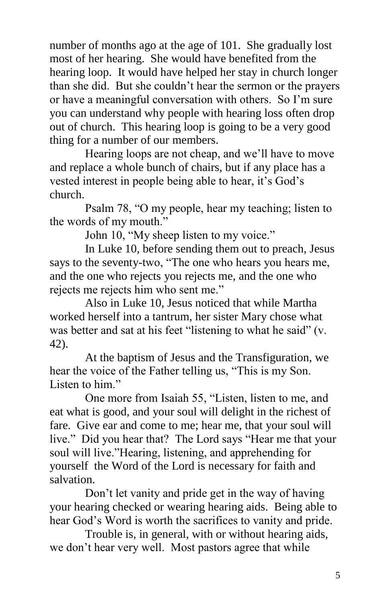number of months ago at the age of 101. She gradually lost most of her hearing. She would have benefited from the hearing loop. It would have helped her stay in church longer than she did. But she couldn't hear the sermon or the prayers or have a meaningful conversation with others. So I'm sure you can understand why people with hearing loss often drop out of church. This hearing loop is going to be a very good thing for a number of our members.

Hearing loops are not cheap, and we'll have to move and replace a whole bunch of chairs, but if any place has a vested interest in people being able to hear, it's God's church.

Psalm 78, "O my people, hear my teaching; listen to the words of my mouth."

John 10, "My sheep listen to my voice."

In Luke 10, before sending them out to preach, Jesus says to the seventy-two, "The one who hears you hears me, and the one who rejects you rejects me, and the one who rejects me rejects him who sent me."

Also in Luke 10, Jesus noticed that while Martha worked herself into a tantrum, her sister Mary chose what was better and sat at his feet "listening to what he said" (v. 42).

At the baptism of Jesus and the Transfiguration, we hear the voice of the Father telling us, "This is my Son. Listen to him."

One more from Isaiah 55, "Listen, listen to me, and eat what is good, and your soul will delight in the richest of fare. Give ear and come to me; hear me, that your soul will live." Did you hear that? The Lord says "Hear me that your soul will live."Hearing, listening, and apprehending for yourself the Word of the Lord is necessary for faith and salvation.

Don't let vanity and pride get in the way of having your hearing checked or wearing hearing aids. Being able to hear God's Word is worth the sacrifices to vanity and pride.

Trouble is, in general, with or without hearing aids, we don't hear very well. Most pastors agree that while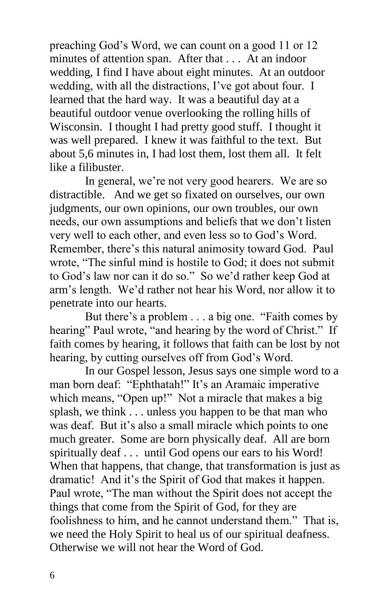preaching God's Word, we can count on a good 11 or 12 minutes of attention span. After that . . . At an indoor wedding, I find I have about eight minutes. At an outdoor wedding, with all the distractions, I've got about four. I learned that the hard way. It was a beautiful day at a beautiful outdoor venue overlooking the rolling hills of Wisconsin. I thought I had pretty good stuff. I thought it was well prepared. I knew it was faithful to the text. But about 5,6 minutes in, I had lost them, lost them all. It felt like a filibuster.

In general, we're not very good hearers. We are so distractible. And we get so fixated on ourselves, our own judgments, our own opinions, our own troubles, our own needs, our own assumptions and beliefs that we don't listen very well to each other, and even less so to God's Word. Remember, there's this natural animosity toward God. Paul wrote, "The sinful mind is hostile to God; it does not submit to God's law nor can it do so." So we'd rather keep God at arm's length. We'd rather not hear his Word, nor allow it to penetrate into our hearts.

But there's a problem . . . a big one. "Faith comes by hearing" Paul wrote, "and hearing by the word of Christ." If faith comes by hearing, it follows that faith can be lost by not hearing, by cutting ourselves off from God's Word.

In our Gospel lesson, Jesus says one simple word to a man born deaf: "Ephthatah!" It's an Aramaic imperative which means, "Open up!" Not a miracle that makes a big splash, we think . . . unless you happen to be that man who was deaf. But it's also a small miracle which points to one much greater. Some are born physically deaf. All are born spiritually deaf . . . until God opens our ears to his Word! When that happens, that change, that transformation is just as dramatic! And it's the Spirit of God that makes it happen. Paul wrote, "The man without the Spirit does not accept the things that come from the Spirit of God, for they are foolishness to him, and he cannot understand them." That is, we need the Holy Spirit to heal us of our spiritual deafness. Otherwise we will not hear the Word of God.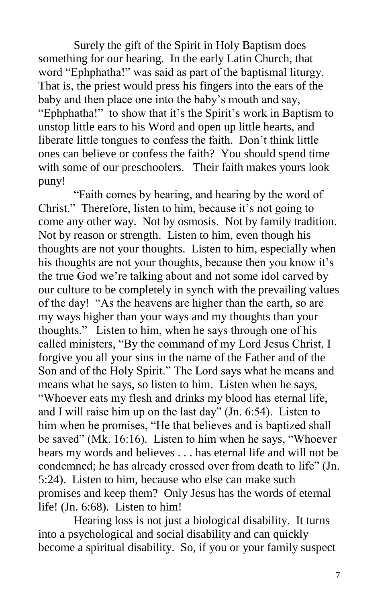Surely the gift of the Spirit in Holy Baptism does something for our hearing. In the early Latin Church, that word "Ephphatha!" was said as part of the baptismal liturgy. That is, the priest would press his fingers into the ears of the baby and then place one into the baby's mouth and say, "Ephphatha!" to show that it's the Spirit's work in Baptism to unstop little ears to his Word and open up little hearts, and liberate little tongues to confess the faith. Don't think little ones can believe or confess the faith? You should spend time with some of our preschoolers. Their faith makes yours look puny!

"Faith comes by hearing, and hearing by the word of Christ." Therefore, listen to him, because it's not going to come any other way. Not by osmosis. Not by family tradition. Not by reason or strength. Listen to him, even though his thoughts are not your thoughts. Listen to him, especially when his thoughts are not your thoughts, because then you know it's the true God we're talking about and not some idol carved by our culture to be completely in synch with the prevailing values of the day! "As the heavens are higher than the earth, so are my ways higher than your ways and my thoughts than your thoughts." Listen to him, when he says through one of his called ministers, "By the command of my Lord Jesus Christ, I forgive you all your sins in the name of the Father and of the Son and of the Holy Spirit." The Lord says what he means and means what he says, so listen to him. Listen when he says, "Whoever eats my flesh and drinks my blood has eternal life, and I will raise him up on the last day" (Jn. 6:54). Listen to him when he promises, "He that believes and is baptized shall be saved" (Mk. 16:16). Listen to him when he says, "Whoever hears my words and believes . . . has eternal life and will not be condemned; he has already crossed over from death to life" (Jn. 5:24). Listen to him, because who else can make such promises and keep them? Only Jesus has the words of eternal life! (Jn. 6:68). Listen to him!

Hearing loss is not just a biological disability. It turns into a psychological and social disability and can quickly become a spiritual disability. So, if you or your family suspect